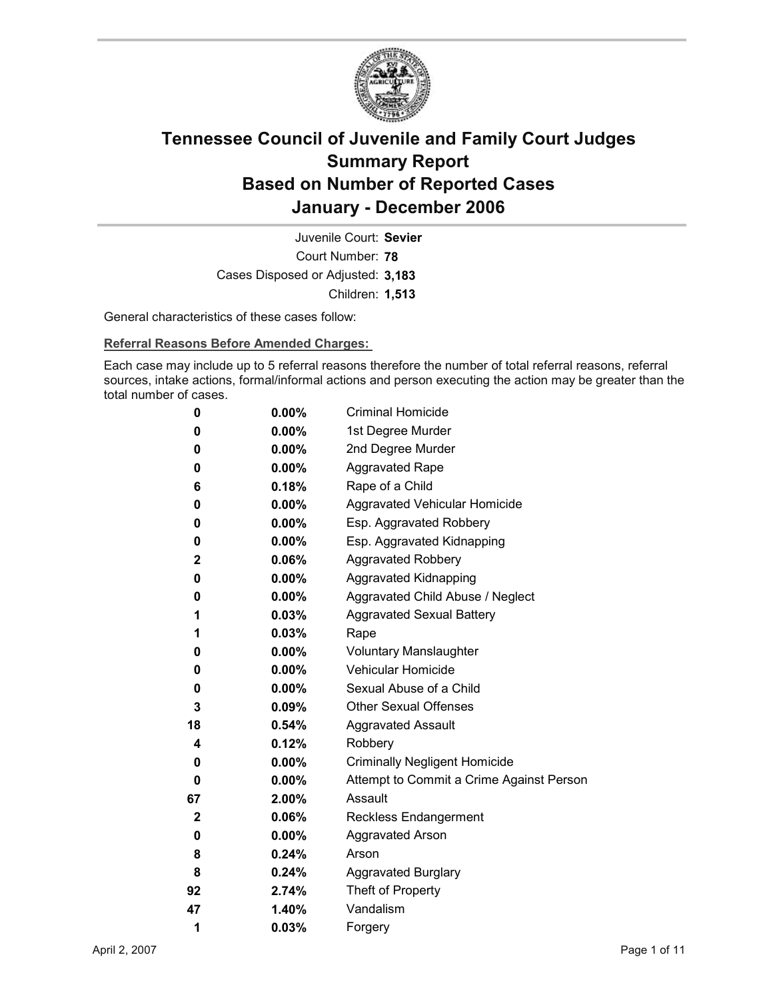

Court Number: **78** Juvenile Court: **Sevier** Cases Disposed or Adjusted: **3,183** Children: **1,513**

General characteristics of these cases follow:

**Referral Reasons Before Amended Charges:** 

Each case may include up to 5 referral reasons therefore the number of total referral reasons, referral sources, intake actions, formal/informal actions and person executing the action may be greater than the total number of cases.

| 0            | $0.00\%$ | <b>Criminal Homicide</b>                 |
|--------------|----------|------------------------------------------|
| 0            | $0.00\%$ | 1st Degree Murder                        |
| 0            | $0.00\%$ | 2nd Degree Murder                        |
| 0            | $0.00\%$ | <b>Aggravated Rape</b>                   |
| 6            | 0.18%    | Rape of a Child                          |
| 0            | $0.00\%$ | Aggravated Vehicular Homicide            |
| 0            | $0.00\%$ | Esp. Aggravated Robbery                  |
| 0            | $0.00\%$ | Esp. Aggravated Kidnapping               |
| $\mathbf{2}$ | 0.06%    | Aggravated Robbery                       |
| 0            | $0.00\%$ | <b>Aggravated Kidnapping</b>             |
| 0            | $0.00\%$ | Aggravated Child Abuse / Neglect         |
| 1            | 0.03%    | <b>Aggravated Sexual Battery</b>         |
| 1            | $0.03\%$ | Rape                                     |
| 0            | $0.00\%$ | <b>Voluntary Manslaughter</b>            |
| 0            | $0.00\%$ | <b>Vehicular Homicide</b>                |
| 0            | $0.00\%$ | Sexual Abuse of a Child                  |
| 3            | $0.09\%$ | <b>Other Sexual Offenses</b>             |
| 18           | $0.54\%$ | <b>Aggravated Assault</b>                |
| 4            | 0.12%    | Robbery                                  |
| 0            | $0.00\%$ | <b>Criminally Negligent Homicide</b>     |
| 0            | $0.00\%$ | Attempt to Commit a Crime Against Person |
| 67           | $2.00\%$ | Assault                                  |
| 2            | 0.06%    | <b>Reckless Endangerment</b>             |
| 0            | $0.00\%$ | <b>Aggravated Arson</b>                  |
| 8            | 0.24%    | Arson                                    |
| 8            | 0.24%    | <b>Aggravated Burglary</b>               |
| 92           | 2.74%    | Theft of Property                        |
| 47           | 1.40%    | Vandalism                                |
| 1            | 0.03%    | Forgery                                  |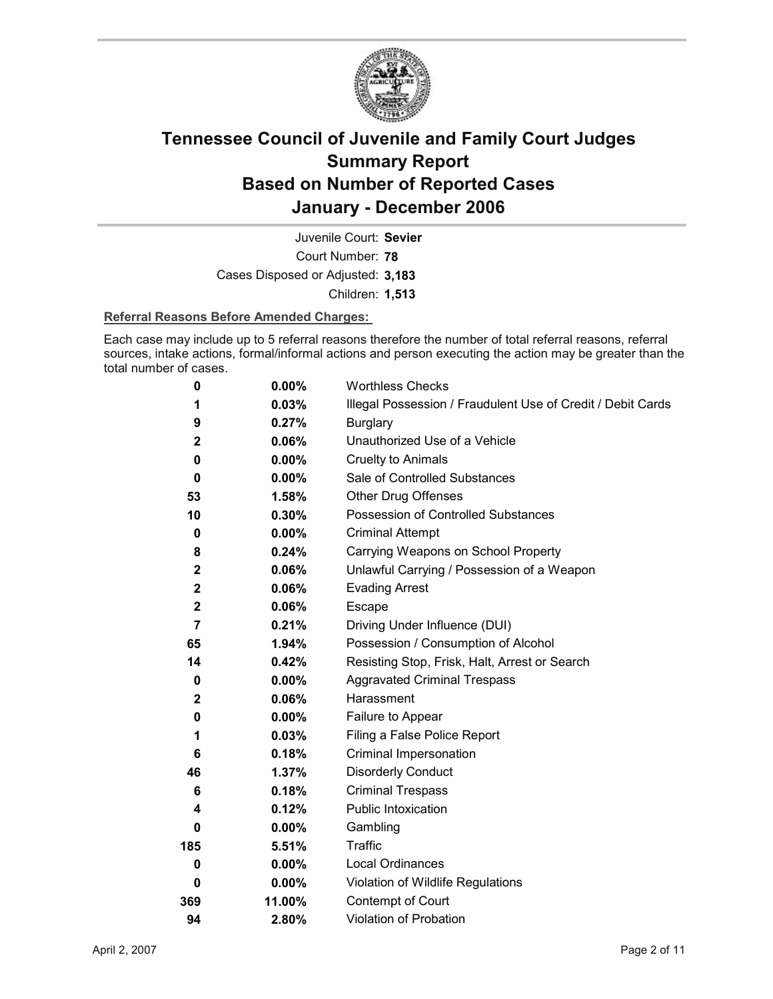

Court Number: **78** Juvenile Court: **Sevier** Cases Disposed or Adjusted: **3,183** Children: **1,513**

### **Referral Reasons Before Amended Charges:**

Each case may include up to 5 referral reasons therefore the number of total referral reasons, referral sources, intake actions, formal/informal actions and person executing the action may be greater than the total number of cases.

| 0                | 0.00%    | <b>Worthless Checks</b>                                     |
|------------------|----------|-------------------------------------------------------------|
| 1                | 0.03%    | Illegal Possession / Fraudulent Use of Credit / Debit Cards |
| 9                | 0.27%    | <b>Burglary</b>                                             |
| $\mathbf{2}$     | 0.06%    | Unauthorized Use of a Vehicle                               |
| 0                | $0.00\%$ | <b>Cruelty to Animals</b>                                   |
| 0                | $0.00\%$ | Sale of Controlled Substances                               |
| 53               | 1.58%    | <b>Other Drug Offenses</b>                                  |
| 10               | 0.30%    | Possession of Controlled Substances                         |
| 0                | $0.00\%$ | <b>Criminal Attempt</b>                                     |
| 8                | 0.24%    | Carrying Weapons on School Property                         |
| $\mathbf 2$      | 0.06%    | Unlawful Carrying / Possession of a Weapon                  |
| $\boldsymbol{2}$ | 0.06%    | <b>Evading Arrest</b>                                       |
| $\mathbf{2}$     | 0.06%    | Escape                                                      |
| $\overline{7}$   | 0.21%    | Driving Under Influence (DUI)                               |
| 65               | 1.94%    | Possession / Consumption of Alcohol                         |
| 14               | 0.42%    | Resisting Stop, Frisk, Halt, Arrest or Search               |
| 0                | $0.00\%$ | <b>Aggravated Criminal Trespass</b>                         |
| $\mathbf{2}$     | 0.06%    | Harassment                                                  |
| 0                | $0.00\%$ | Failure to Appear                                           |
| 1                | 0.03%    | Filing a False Police Report                                |
| 6                | 0.18%    | Criminal Impersonation                                      |
| 46               | 1.37%    | <b>Disorderly Conduct</b>                                   |
| 6                | 0.18%    | <b>Criminal Trespass</b>                                    |
| 4                | 0.12%    | Public Intoxication                                         |
| 0                | $0.00\%$ | Gambling                                                    |
| 185              | 5.51%    | Traffic                                                     |
| 0                | $0.00\%$ | <b>Local Ordinances</b>                                     |
| 0                | $0.00\%$ | Violation of Wildlife Regulations                           |
| 369              | 11.00%   | Contempt of Court                                           |
| 94               | 2.80%    | Violation of Probation                                      |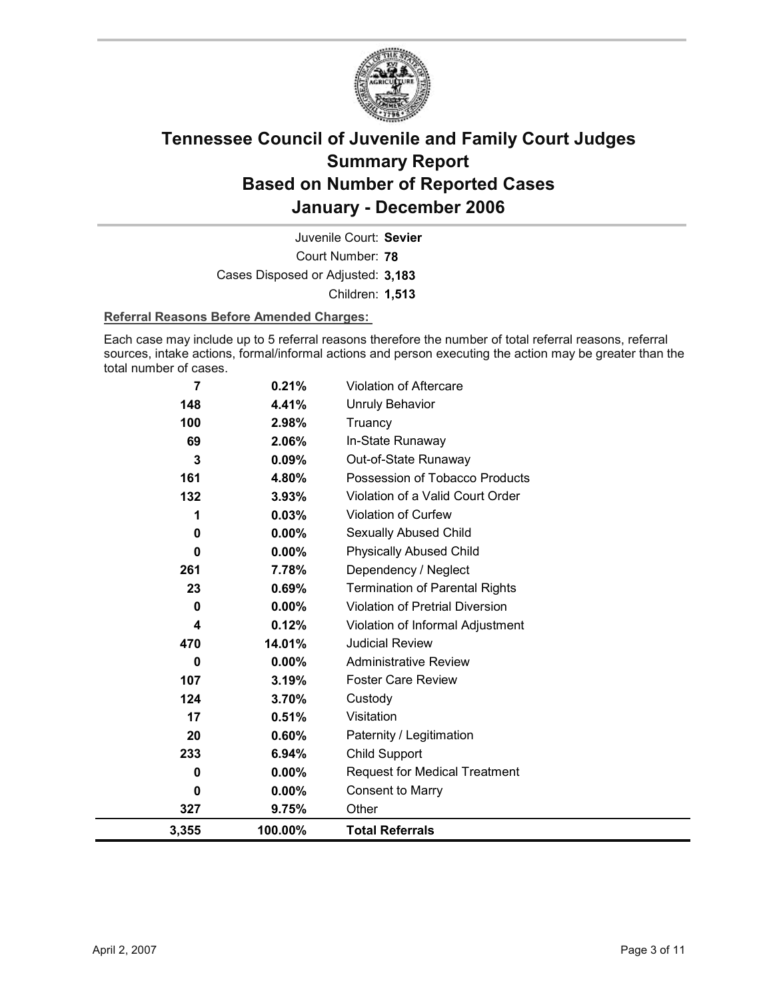

Court Number: **78** Juvenile Court: **Sevier** Cases Disposed or Adjusted: **3,183** Children: **1,513**

### **Referral Reasons Before Amended Charges:**

Each case may include up to 5 referral reasons therefore the number of total referral reasons, referral sources, intake actions, formal/informal actions and person executing the action may be greater than the total number of cases.

| 3,355 | 100.00%  | <b>Total Referrals</b>                 |
|-------|----------|----------------------------------------|
| 327   | 9.75%    | Other                                  |
| 0     | $0.00\%$ | <b>Consent to Marry</b>                |
| 0     | $0.00\%$ | <b>Request for Medical Treatment</b>   |
| 233   | 6.94%    | Child Support                          |
| 20    | 0.60%    | Paternity / Legitimation               |
| 17    | 0.51%    | Visitation                             |
| 124   | 3.70%    | Custody                                |
| 107   | 3.19%    | <b>Foster Care Review</b>              |
| 0     | $0.00\%$ | <b>Administrative Review</b>           |
| 470   | 14.01%   | <b>Judicial Review</b>                 |
| 4     | 0.12%    | Violation of Informal Adjustment       |
| 0     | 0.00%    | <b>Violation of Pretrial Diversion</b> |
| 23    | 0.69%    | <b>Termination of Parental Rights</b>  |
| 261   | 7.78%    | Dependency / Neglect                   |
| 0     | 0.00%    | <b>Physically Abused Child</b>         |
| 0     | $0.00\%$ | Sexually Abused Child                  |
|       | 0.03%    | <b>Violation of Curfew</b>             |
| 132   | 3.93%    | Violation of a Valid Court Order       |
| 161   | 4.80%    | Possession of Tobacco Products         |
| 3     | 0.09%    | Out-of-State Runaway                   |
| 69    | 2.06%    | In-State Runaway                       |
| 100   | 2.98%    | Truancy                                |
| 148   | 4.41%    | <b>Unruly Behavior</b>                 |
| 7     | 0.21%    | Violation of Aftercare                 |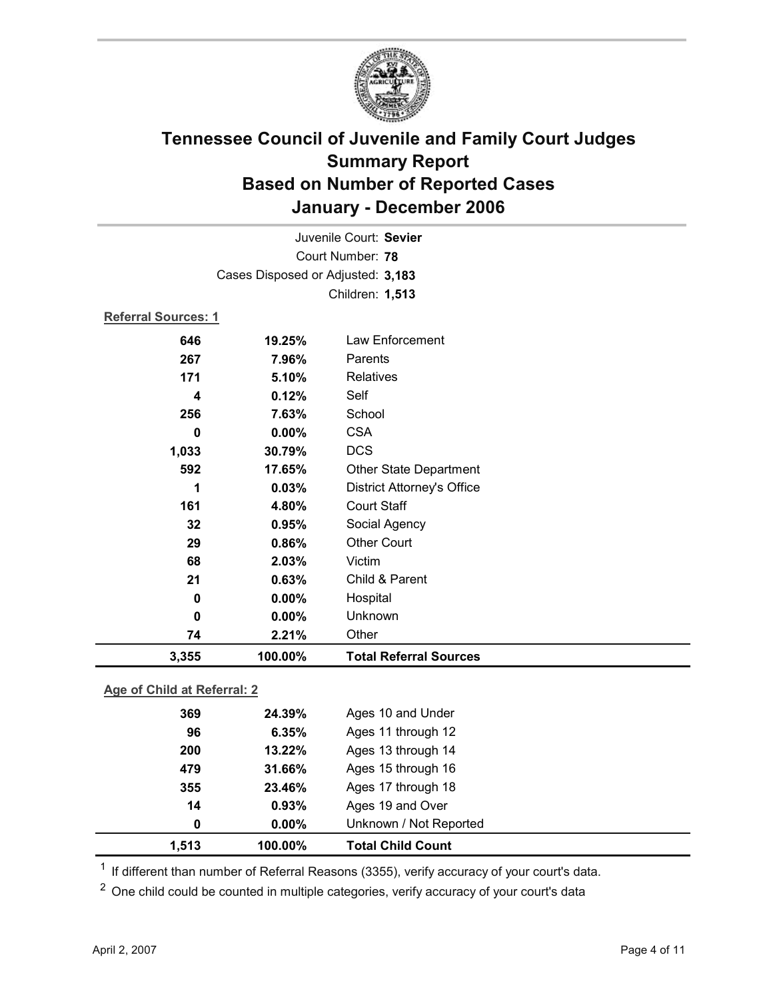

| Juvenile Court: Sevier            |                             |                                   |  |  |
|-----------------------------------|-----------------------------|-----------------------------------|--|--|
| Court Number: 78                  |                             |                                   |  |  |
| Cases Disposed or Adjusted: 3,183 |                             |                                   |  |  |
| Children: 1,513                   |                             |                                   |  |  |
| <b>Referral Sources: 1</b>        |                             |                                   |  |  |
| 646                               | 19.25%                      | <b>Law Enforcement</b>            |  |  |
| 267                               | 7.96%                       | Parents                           |  |  |
| 171                               | 5.10%                       | <b>Relatives</b>                  |  |  |
| 4                                 | 0.12%                       | Self                              |  |  |
| 256                               | 7.63%                       | School                            |  |  |
| $\bf{0}$                          | 0.00%                       | <b>CSA</b>                        |  |  |
| 1,033                             | 30.79%                      | <b>DCS</b>                        |  |  |
| 592                               | 17.65%                      | Other State Department            |  |  |
| 1                                 | 0.03%                       | <b>District Attorney's Office</b> |  |  |
| 161                               | 4.80%                       | <b>Court Staff</b>                |  |  |
| 32                                | 0.95%                       | Social Agency                     |  |  |
| 29                                | 0.86%                       | <b>Other Court</b>                |  |  |
| 68                                | 2.03%                       | Victim                            |  |  |
| 21                                | 0.63%                       | Child & Parent                    |  |  |
| 0                                 | $0.00\%$                    | Hospital                          |  |  |
| $\mathbf 0$                       | 0.00%                       | Unknown                           |  |  |
| 74                                | 2.21%                       | Other                             |  |  |
| 3,355                             | 100.00%                     | <b>Total Referral Sources</b>     |  |  |
|                                   | Ann of Child of Doforrol: 2 |                                   |  |  |

### **Age of Child at Referral: 2**

| 1.513 | 100.00%  | <b>Total Child Count</b> |  |
|-------|----------|--------------------------|--|
| 0     | $0.00\%$ | Unknown / Not Reported   |  |
| 14    | 0.93%    | Ages 19 and Over         |  |
| 355   | 23.46%   | Ages 17 through 18       |  |
| 479   | 31.66%   | Ages 15 through 16       |  |
| 200   | 13.22%   | Ages 13 through 14       |  |
| 96    | 6.35%    | Ages 11 through 12       |  |
| 369   | 24.39%   | Ages 10 and Under        |  |
|       |          |                          |  |

 $1$  If different than number of Referral Reasons (3355), verify accuracy of your court's data.

<sup>2</sup> One child could be counted in multiple categories, verify accuracy of your court's data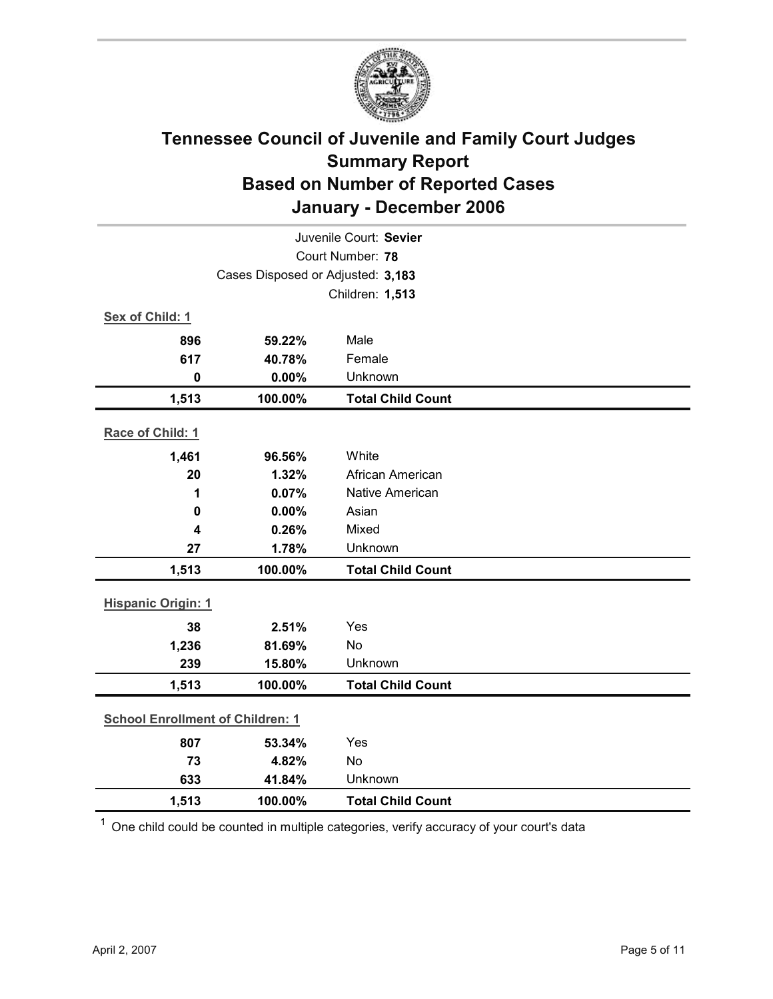

| Juvenile Court: Sevier                  |                                   |                          |  |
|-----------------------------------------|-----------------------------------|--------------------------|--|
| Court Number: 78                        |                                   |                          |  |
|                                         | Cases Disposed or Adjusted: 3,183 |                          |  |
|                                         | Children: 1,513                   |                          |  |
| Sex of Child: 1                         |                                   |                          |  |
| 896                                     | 59.22%                            | Male                     |  |
| 617                                     | 40.78%                            | Female                   |  |
| $\mathbf 0$                             | 0.00%                             | Unknown                  |  |
| 1,513                                   | 100.00%                           | <b>Total Child Count</b> |  |
| Race of Child: 1                        |                                   |                          |  |
| 1,461                                   | 96.56%                            | White                    |  |
| 20                                      | 1.32%                             | African American         |  |
| 1                                       | 0.07%                             | <b>Native American</b>   |  |
| $\mathbf 0$                             | 0.00%                             | Asian                    |  |
| 4                                       | 0.26%                             | Mixed                    |  |
| 27                                      | 1.78%                             | Unknown                  |  |
| 1,513                                   | 100.00%                           | <b>Total Child Count</b> |  |
| <b>Hispanic Origin: 1</b>               |                                   |                          |  |
| 38                                      | 2.51%                             | Yes                      |  |
| 1,236                                   | 81.69%                            | No                       |  |
| 239                                     | 15.80%                            | Unknown                  |  |
| 1,513                                   | 100.00%                           | <b>Total Child Count</b> |  |
| <b>School Enrollment of Children: 1</b> |                                   |                          |  |
| 807                                     | 53.34%                            | Yes                      |  |
| 73                                      | 4.82%                             | No                       |  |
| 633                                     | 41.84%                            | Unknown                  |  |
| 1,513                                   | 100.00%                           | <b>Total Child Count</b> |  |

 $1$  One child could be counted in multiple categories, verify accuracy of your court's data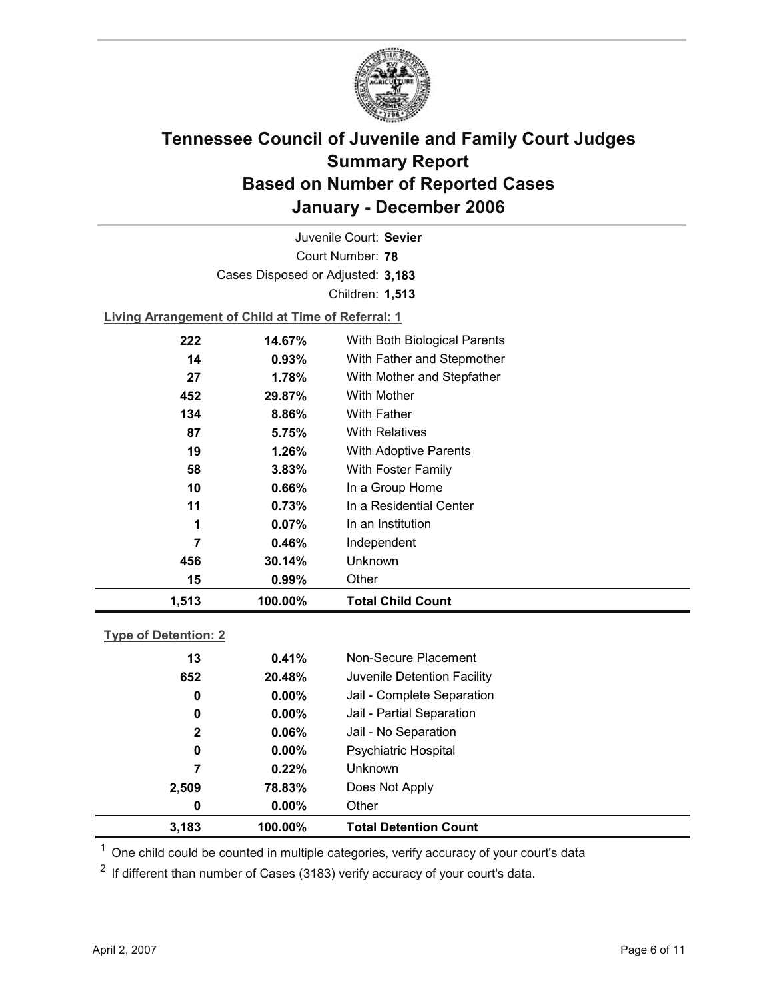

Court Number: **78** Juvenile Court: **Sevier** Cases Disposed or Adjusted: **3,183** Children: **1,513**

**Living Arrangement of Child at Time of Referral: 1**

| 1,513 | 100.00%  | <b>Total Child Count</b>     |
|-------|----------|------------------------------|
| 15    | 0.99%    | Other                        |
| 456   | 30.14%   | Unknown                      |
| 7     | 0.46%    | Independent                  |
| 1     | 0.07%    | In an Institution            |
| 11    | 0.73%    | In a Residential Center      |
| 10    | $0.66\%$ | In a Group Home              |
| 58    | 3.83%    | With Foster Family           |
| 19    | 1.26%    | <b>With Adoptive Parents</b> |
| 87    | 5.75%    | <b>With Relatives</b>        |
| 134   | 8.86%    | With Father                  |
| 452   | 29.87%   | With Mother                  |
| 27    | 1.78%    | With Mother and Stepfather   |
| 14    | 0.93%    | With Father and Stepmother   |
| 222   | 14.67%   | With Both Biological Parents |
|       |          |                              |

### **Type of Detention: 2**

| 3,183        | 100.00%  | <b>Total Detention Count</b> |  |
|--------------|----------|------------------------------|--|
| 0            | $0.00\%$ | Other                        |  |
| 2,509        | 78.83%   | Does Not Apply               |  |
| 7            | 0.22%    | <b>Unknown</b>               |  |
| 0            | $0.00\%$ | <b>Psychiatric Hospital</b>  |  |
| $\mathbf{2}$ | 0.06%    | Jail - No Separation         |  |
| 0            | $0.00\%$ | Jail - Partial Separation    |  |
| 0            | $0.00\%$ | Jail - Complete Separation   |  |
| 652          | 20.48%   | Juvenile Detention Facility  |  |
| 13           | 0.41%    | Non-Secure Placement         |  |
|              |          |                              |  |

 $<sup>1</sup>$  One child could be counted in multiple categories, verify accuracy of your court's data</sup>

 $2$  If different than number of Cases (3183) verify accuracy of your court's data.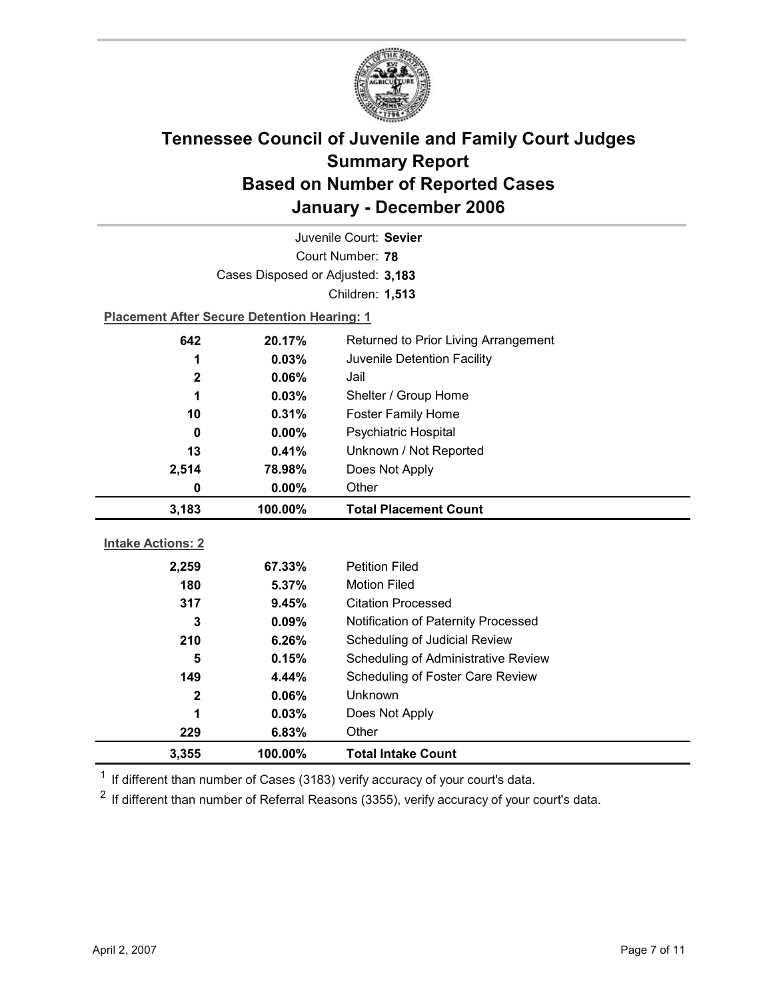

| Juvenile Court: Sevier   |                                                    |                                     |  |
|--------------------------|----------------------------------------------------|-------------------------------------|--|
|                          | Court Number: 78                                   |                                     |  |
|                          | Cases Disposed or Adjusted: 3,183                  |                                     |  |
|                          |                                                    | Children: 1,513                     |  |
|                          | <b>Placement After Secure Detention Hearing: 1</b> |                                     |  |
| 642                      | 20.17%<br>Returned to Prior Living Arrangement     |                                     |  |
| 1                        | 0.03%                                              | Juvenile Detention Facility         |  |
| $\mathbf 2$              | 0.06%                                              | Jail                                |  |
| 1                        | 0.03%                                              | Shelter / Group Home                |  |
| 10                       | 0.31%                                              | <b>Foster Family Home</b>           |  |
| 0                        | 0.00%                                              | Psychiatric Hospital                |  |
| 13                       | 0.41%                                              | Unknown / Not Reported              |  |
| 2,514                    | 78.98%                                             | Does Not Apply                      |  |
| 0                        | 0.00%                                              | Other                               |  |
|                          |                                                    |                                     |  |
| 3,183                    | 100.00%                                            | <b>Total Placement Count</b>        |  |
|                          |                                                    |                                     |  |
| <b>Intake Actions: 2</b> |                                                    |                                     |  |
| 2,259                    | 67.33%                                             | <b>Petition Filed</b>               |  |
| 180                      | 5.37%                                              | <b>Motion Filed</b>                 |  |
| 317                      | 9.45%                                              | <b>Citation Processed</b>           |  |
| 3                        | 0.09%                                              | Notification of Paternity Processed |  |
| 210                      | 6.26%                                              | Scheduling of Judicial Review       |  |
| 5                        | 0.15%                                              | Scheduling of Administrative Review |  |
| 149                      | 4.44%                                              | Scheduling of Foster Care Review    |  |
| $\mathbf 2$              | 0.06%                                              | <b>Unknown</b>                      |  |
| 1                        | 0.03%                                              | Does Not Apply                      |  |
| 229<br>3,355             | 6.83%<br>100.00%                                   | Other<br><b>Total Intake Count</b>  |  |

 $1$  If different than number of Cases (3183) verify accuracy of your court's data.

 $2$  If different than number of Referral Reasons (3355), verify accuracy of your court's data.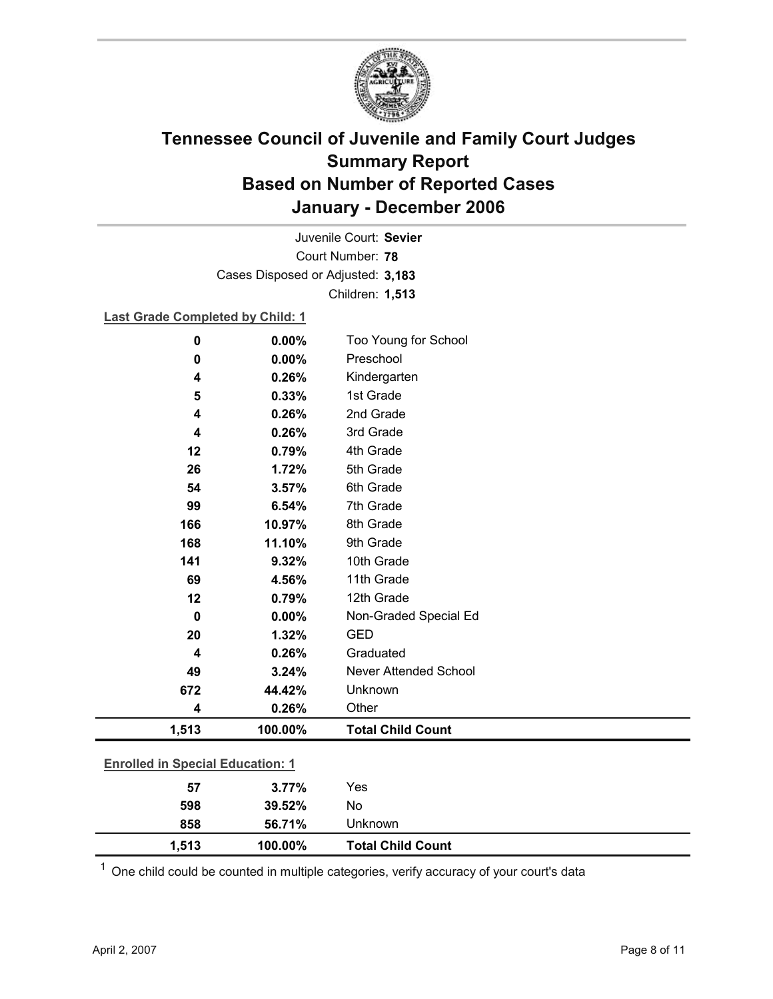

Court Number: **78** Juvenile Court: **Sevier** Cases Disposed or Adjusted: **3,183** Children: **1,513**

### **Last Grade Completed by Child: 1**

| $\bf{0}$                                | 0.00%   | Too Young for School     |  |  |
|-----------------------------------------|---------|--------------------------|--|--|
| $\bf{0}$                                | 0.00%   | Preschool                |  |  |
| 4                                       | 0.26%   | Kindergarten             |  |  |
| 5                                       | 0.33%   | 1st Grade                |  |  |
| 4                                       | 0.26%   | 2nd Grade                |  |  |
| 4                                       | 0.26%   | 3rd Grade                |  |  |
| 12                                      | 0.79%   | 4th Grade                |  |  |
| 26                                      | 1.72%   | 5th Grade                |  |  |
| 54                                      | 3.57%   | 6th Grade                |  |  |
| 99                                      | 6.54%   | 7th Grade                |  |  |
| 166                                     | 10.97%  | 8th Grade                |  |  |
| 168                                     | 11.10%  | 9th Grade                |  |  |
| 141                                     | 9.32%   | 10th Grade               |  |  |
| 69                                      | 4.56%   | 11th Grade               |  |  |
| 12                                      | 0.79%   | 12th Grade               |  |  |
| $\mathbf 0$                             | 0.00%   | Non-Graded Special Ed    |  |  |
| 20                                      | 1.32%   | <b>GED</b>               |  |  |
| 4                                       | 0.26%   | Graduated                |  |  |
| 49                                      | 3.24%   | Never Attended School    |  |  |
| 672                                     | 44.42%  | Unknown                  |  |  |
| 4                                       | 0.26%   | Other                    |  |  |
| 1,513                                   | 100.00% | <b>Total Child Count</b> |  |  |
|                                         |         |                          |  |  |
| <b>Enrolled in Special Education: 1</b> |         |                          |  |  |
| 57                                      | 3.77%   | Yes                      |  |  |
| 598                                     | 39.52%  | No                       |  |  |

 $1$  One child could be counted in multiple categories, verify accuracy of your court's data

**858 56.71%** Unknown

**1,513 100.00% Total Child Count**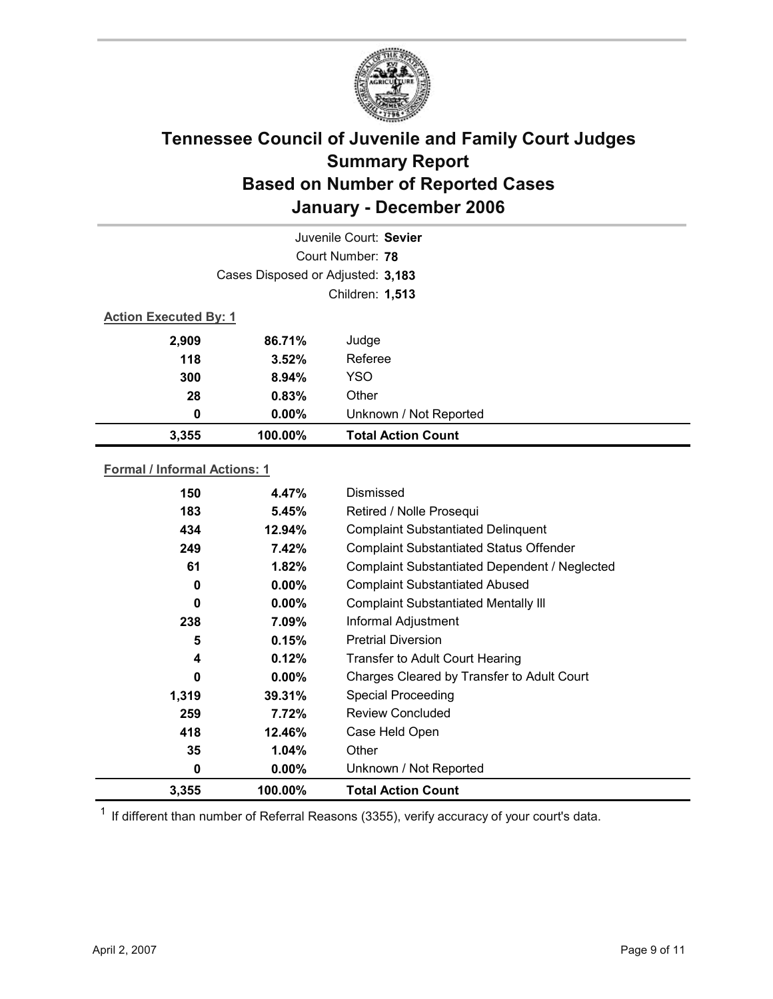

|                              |                                   | Juvenile Court: Sevier    |
|------------------------------|-----------------------------------|---------------------------|
|                              |                                   | Court Number: 78          |
|                              | Cases Disposed or Adjusted: 3,183 |                           |
|                              | Children: 1,513                   |                           |
| <b>Action Executed By: 1</b> |                                   |                           |
| 2,909                        | 86.71%                            | Judge                     |
| 118                          | 3.52%                             | Referee                   |
| 300                          | 8.94%                             | <b>YSO</b>                |
| 28                           | 0.83%                             | Other                     |
| 0                            | $0.00\%$                          | Unknown / Not Reported    |
| 3,355                        | 100.00%                           | <b>Total Action Count</b> |

### **Formal / Informal Actions: 1**

| 150   | 4.47%    | Dismissed                                      |
|-------|----------|------------------------------------------------|
| 183   | 5.45%    | Retired / Nolle Prosequi                       |
| 434   | 12.94%   | <b>Complaint Substantiated Delinquent</b>      |
| 249   | 7.42%    | <b>Complaint Substantiated Status Offender</b> |
| 61    | 1.82%    | Complaint Substantiated Dependent / Neglected  |
| 0     | $0.00\%$ | <b>Complaint Substantiated Abused</b>          |
| 0     | $0.00\%$ | <b>Complaint Substantiated Mentally III</b>    |
| 238   | 7.09%    | Informal Adjustment                            |
| 5     | 0.15%    | <b>Pretrial Diversion</b>                      |
| 4     | 0.12%    | <b>Transfer to Adult Court Hearing</b>         |
| 0     | $0.00\%$ | Charges Cleared by Transfer to Adult Court     |
| 1,319 | 39.31%   | <b>Special Proceeding</b>                      |
| 259   | 7.72%    | <b>Review Concluded</b>                        |
| 418   | 12.46%   | Case Held Open                                 |
| 35    | $1.04\%$ | Other                                          |
| 0     | $0.00\%$ | Unknown / Not Reported                         |
| 3,355 | 100.00%  | <b>Total Action Count</b>                      |

 $1$  If different than number of Referral Reasons (3355), verify accuracy of your court's data.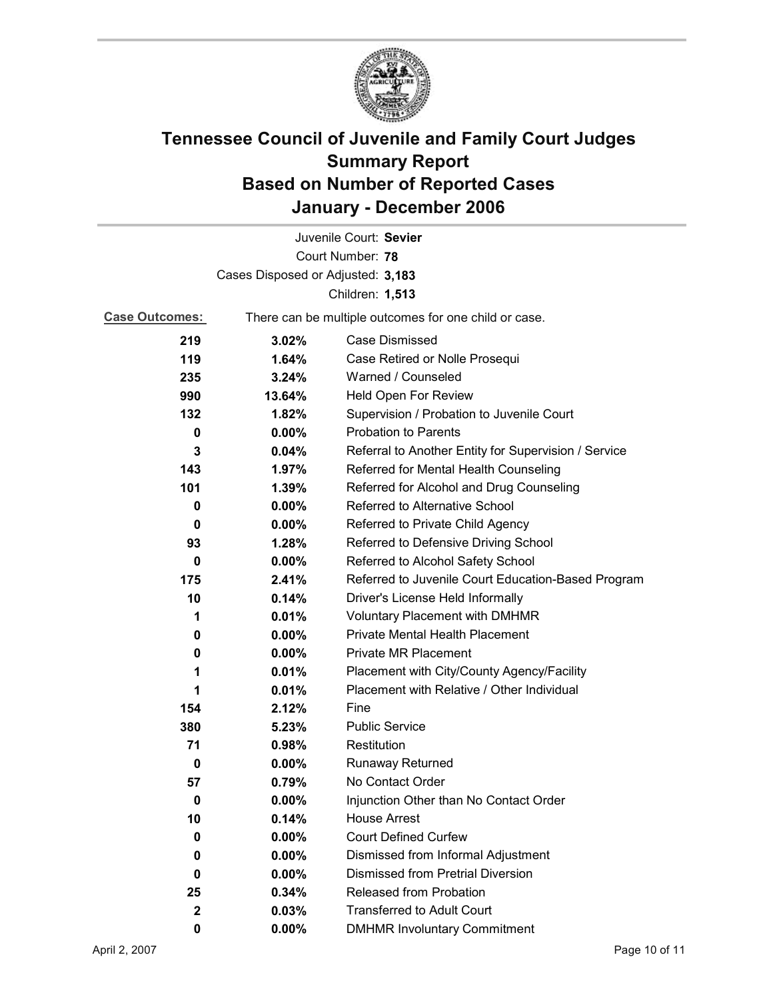

| Juvenile Court: Sevier            |                                                       |                                                      |  |
|-----------------------------------|-------------------------------------------------------|------------------------------------------------------|--|
|                                   |                                                       | Court Number: 78                                     |  |
| Cases Disposed or Adjusted: 3,183 |                                                       |                                                      |  |
| Children: 1,513                   |                                                       |                                                      |  |
| <b>Case Outcomes:</b>             | There can be multiple outcomes for one child or case. |                                                      |  |
| 219                               | 3.02%                                                 | Case Dismissed                                       |  |
| 119                               | 1.64%                                                 | Case Retired or Nolle Prosequi                       |  |
| 235                               | 3.24%                                                 | Warned / Counseled                                   |  |
| 990                               | 13.64%                                                | Held Open For Review                                 |  |
| 132                               | 1.82%                                                 | Supervision / Probation to Juvenile Court            |  |
| 0                                 | $0.00\%$                                              | <b>Probation to Parents</b>                          |  |
| 3                                 | 0.04%                                                 | Referral to Another Entity for Supervision / Service |  |
| 143                               | 1.97%                                                 | Referred for Mental Health Counseling                |  |
| 101                               | 1.39%                                                 | Referred for Alcohol and Drug Counseling             |  |
| 0                                 | $0.00\%$                                              | Referred to Alternative School                       |  |
| 0                                 | $0.00\%$                                              | Referred to Private Child Agency                     |  |
| 93                                | 1.28%                                                 | Referred to Defensive Driving School                 |  |
| 0                                 | $0.00\%$                                              | Referred to Alcohol Safety School                    |  |
| 175                               | 2.41%                                                 | Referred to Juvenile Court Education-Based Program   |  |
| 10                                | 0.14%                                                 | Driver's License Held Informally                     |  |
| 1                                 | 0.01%                                                 | <b>Voluntary Placement with DMHMR</b>                |  |
| 0                                 | $0.00\%$                                              | Private Mental Health Placement                      |  |
| 0                                 | $0.00\%$                                              | <b>Private MR Placement</b>                          |  |
| 1                                 | 0.01%                                                 | Placement with City/County Agency/Facility           |  |
| 1                                 | 0.01%                                                 | Placement with Relative / Other Individual           |  |
| 154                               | 2.12%                                                 | Fine                                                 |  |
| 380                               | 5.23%                                                 | <b>Public Service</b>                                |  |
| 71                                | 0.98%                                                 | Restitution                                          |  |
| 0                                 | $0.00\%$                                              | <b>Runaway Returned</b>                              |  |
| 57                                | 0.79%                                                 | No Contact Order                                     |  |
| 0                                 | 0.00%                                                 | Injunction Other than No Contact Order               |  |
| 10                                | 0.14%                                                 | <b>House Arrest</b>                                  |  |
| 0                                 | $0.00\%$                                              | <b>Court Defined Curfew</b>                          |  |
| 0                                 | 0.00%                                                 | Dismissed from Informal Adjustment                   |  |
| 0                                 | $0.00\%$                                              | <b>Dismissed from Pretrial Diversion</b>             |  |
| 25                                | 0.34%                                                 | Released from Probation                              |  |
| $\mathbf{2}$                      | 0.03%                                                 | <b>Transferred to Adult Court</b>                    |  |
| 0                                 | $0.00\%$                                              | <b>DMHMR Involuntary Commitment</b>                  |  |